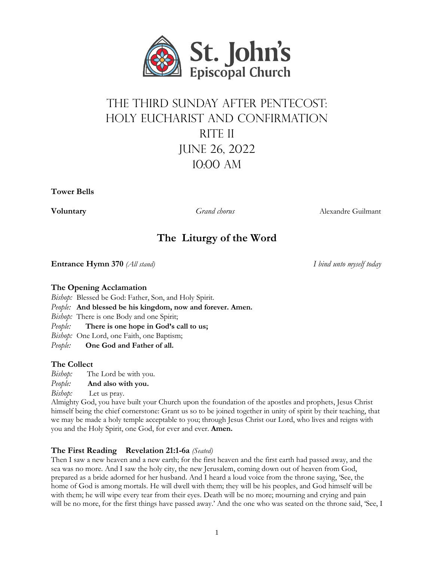

# The Third Sunday after Pentecost: Holy Eucharist and Confirmation RITE II June 26, 2022 10:00 aM

**Tower Bells**

**Voluntary** *Grand chorus* Alexandre Guilmant

# **The Liturgy of the Word**

**Entrance Hymn 370** *(All stand) I bind unto myself today*

# **The Opening Acclamation**

- *Bishop:* Blessed be God: Father, Son, and Holy Spirit.
- *People:* **And blessed be his kingdom, now and forever. Amen.**

*Bishop:* There is one Body and one Spirit;

*People:* **There is one hope in God's call to us;**

*Bishop:* One Lord, one Faith, one Baptism;

*People:* **One God and Father of all.**

# **The Collect**

*Bishop:* The Lord be with you.

*People:* **And also with you.**

*Bishop:* Let us pray.

Almighty God, you have built your Church upon the foundation of the apostles and prophets, Jesus Christ himself being the chief cornerstone: Grant us so to be joined together in unity of spirit by their teaching, that we may be made a holy temple acceptable to you; through Jesus Christ our Lord, who lives and reigns with you and the Holy Spirit, one God, for ever and ever. **Amen.**

# **The First Reading Revelation 21:1-6a** *(Seated)*

Then I saw a new heaven and a new earth; for the first heaven and the first earth had passed away, and the sea was no more. And I saw the holy city, the new Jerusalem, coming down out of heaven from God, prepared as a bride adorned for her husband. And I heard a loud voice from the throne saying, 'See, the home of God is among mortals. He will dwell with them; they will be his peoples, and God himself will be with them; he will wipe every tear from their eyes. Death will be no more; mourning and crying and pain will be no more, for the first things have passed away.' And the one who was seated on the throne said, 'See, I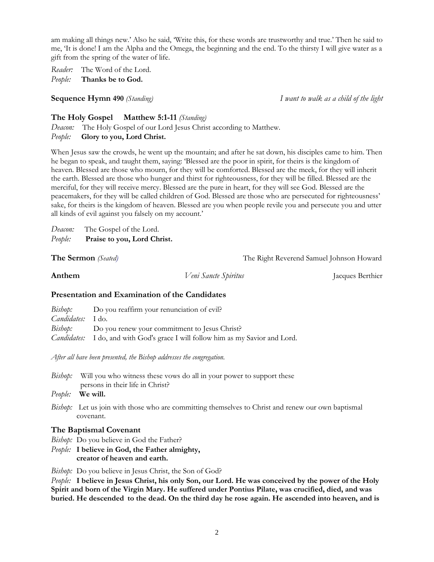am making all things new.' Also he said, 'Write this, for these words are trustworthy and true.' Then he said to me, 'It is done! I am the Alpha and the Omega, the beginning and the end. To the thirsty I will give water as a gift from the spring of the water of life.

*Reader:* The Word of the Lord. *People:* **Thanks be to God.**

**Sequence Hymn 490** *(Standing) I want to walk as a child of the light*

# **The Holy Gospel Matthew 5:1-11** *(Standing)*

*Deacon:* The Holy Gospel of our Lord Jesus Christ according to Matthew. *People:* **Glory to you, Lord Christ.**

When Jesus saw the crowds, he went up the mountain; and after he sat down, his disciples came to him. Then he began to speak, and taught them, saying: 'Blessed are the poor in spirit, for theirs is the kingdom of heaven. Blessed are those who mourn, for they will be comforted. Blessed are the meek, for they will inherit the earth. Blessed are those who hunger and thirst for righteousness, for they will be filled. Blessed are the merciful, for they will receive mercy. Blessed are the pure in heart, for they will see God. Blessed are the peacemakers, for they will be called children of God. Blessed are those who are persecuted for righteousness' sake, for theirs is the kingdom of heaven. Blessed are you when people revile you and persecute you and utter all kinds of evil against you falsely on my account.'

*Deacon:* The Gospel of the Lord. *People:* **Praise to you, Lord Christ.**

**The Sermon** *(Seated)* **The Right Reverend Samuel Johnson Howard** 

**Anthem** *Veni Sancte Spiritus* Jacques Berthier

# **Presentation and Examination of the Candidates**

|                          | <i>Bishop</i> : Do you reaffirm your renunciation of evil?                             |
|--------------------------|----------------------------------------------------------------------------------------|
| <i>Candidates:</i> I do. |                                                                                        |
|                          | <i>Bishop</i> : Do you renew your commitment to Jesus Christ?                          |
|                          | <i>Candidates:</i> I do, and with God's grace I will follow him as my Savior and Lord. |

*After all have been presented, the Bishop addresses the congregation.*

- *Bishop*: Will you who witness these vows do all in your power to support these persons in their life in Christ?
- *People:* **We will.**
- *Bishop:* Let us join with those who are committing themselves to Christ and renew our own baptismal covenant.

# **The Baptismal Covenant**

- *Bishop:* Do you believe in God the Father?
- *People:* **I believe in God, the Father almighty, creator of heaven and earth.**

*Bishop:* Do you believe in Jesus Christ, the Son of God?

People: I believe in Jesus Christ, his only Son, our Lord. He was conceived by the power of the Holy **Spirit and born of the Virgin Mary. He suffered under Pontius Pilate, was crucified, died, and was** buried. He descended to the dead. On the third day he rose again. He ascended into heaven, and is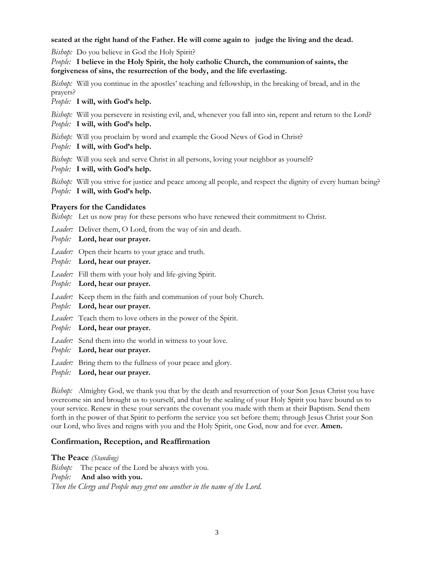### seated at the right hand of the Father. He will come again to judge the living and the dead.

*Bishop:* Do you believe in God the Holy Spirit?

*People:* **I believe in the Holy Spirit, the holy catholic Church, the communion of saints, the forgiveness of sins, the resurrection of the body, and the life everlasting.**

*Bishop:* Will you continue in the apostles' teaching and fellowship, in the breaking of bread, and in the prayers?

*People:* **I will, with God's help.**

*Bishop:* Will you persevere in resisting evil, and, whenever you fall into sin, repent and return to the Lord?

- *People:* **I will, with God's help.**
- *Bishop:* Will you proclaim by word and example the Good News of God in Christ?
- *People:* **I will, with God's help.**
- *Bishop:* Will you seek and serve Christ in all persons, loving your neighbor as yourself?
- *People:* **I will, with God's help.**

*Bishop:* Will you strive for justice and peace among all people, and respect the dignity of every human being? *People:* **I will, with God's help.**

## **Prayers for the Candidates**

*Bishop:* Let us now pray for these persons who have renewed their commitment to Christ.

*Leader:* Deliver them, O Lord, from the way of sin and death.

*People:* **Lord, hear our prayer.**

*Leader:* Open their hearts to your grace and truth.

- *People:* **Lord, hear our prayer.**
- *Leader:* Fill them with your holy and life-giving Spirit.
- *People:* **Lord, hear our prayer.**
- *Leader:* Keep them in the faith and communion of your holy Church.
- *People:* **Lord, hear our prayer.**
- *Leader:* Teach them to love others in the power of the Spirit.
- *People:* **Lord, hear our prayer.**
- *Leader:* Send them into the world in witness to your love.
- *People:* **Lord, hear our prayer.**
- *Leader:* Bring them to the fullness of your peace and glory.
- *People:* **Lord, hear our prayer.**

*Bishop:* Almighty God, we thank you that by the death and resurrection of your Son Jesus Christ you have overcome sin and brought us to yourself, and that by the sealing of your Holy Spirit you have bound us to your service. Renew in these your servants the covenant you made with them at their Baptism. Send them forth in the power of that Spirit to perform the service you set before them; through Jesus Christ your Son our Lord, who lives and reigns with you and the Holy Spirit, one God, now and for ever. **Amen.**

## **Confirmation, Reception, and Reaffirmation**

**The Peace** *(Standing)*

*Bishop*: The peace of the Lord be always with you. *People:* **And also with you.** *Then the Clergy and People may greet one another in the name of the Lord.*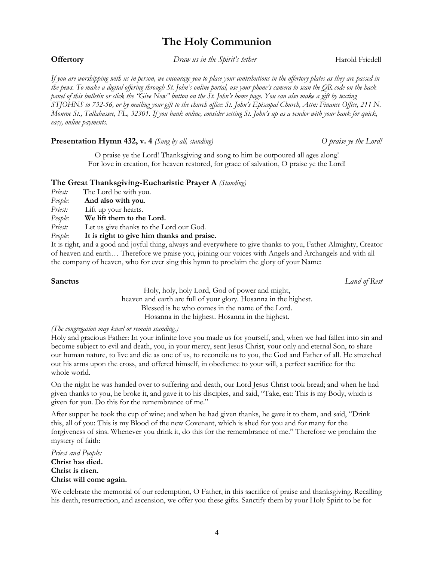# **The Holy Communion**

**Offertory** *Draw us in the Spirit's tether* Harold Friedell

If you are worshipping with us in person, we encourage you to place your contributions in the offertory plates as they are passed in the pews. To make a digital offering through St. John's online portal, use your phone's camera to scan the OR code on the back panel of this bulletin or click the "Give Now" button on the St. John's home page. You can also make a gift by texting STJOHNS to 732-56, or by mailing your gift to the church office: St. John's Episcopal Church, Attn: Finance Office, 211 N. Monroe St., Tallahassee, FL, 32301. If you bank online, consider setting St. John's up as a vendor with your bank for quick, *easy, online payments.*

# **Presentation Hymn 432, v. 4** *(Sung by all, standing)**O praise ye the Lord!*

O praise ye the Lord! Thanksgiving and song to him be outpoured all ages along! For love in creation, for heaven restored, for grace of salvation, O praise ye the Lord!

# **The Great Thanksgiving-Eucharistic Prayer A** *(Standing)*

- *Priest:* The Lord be with you.
- *People:* **And also with you**.
- *Priest:* Lift up your hearts.
- *People:* **We lift them to the Lord.**
- *Priest:* Let us give thanks to the Lord our God.<br>*Peoble:* It is right to give him thanks and prai
- *People:* **It is right to give him thanks and praise.**

It is right, and a good and joyful thing, always and everywhere to give thanks to you, Father Almighty, Creator of heaven and earth… Therefore we praise you, joining our voices with Angels and Archangels and with all the company of heaven, who for ever sing this hymn to proclaim the glory of your Name:

**Sanctus** *Land of Rest*

Holy, holy, holy Lord, God of power and might, heaven and earth are full of your glory. Hosanna in the highest. Blessed is he who comes in the name of the Lord. Hosanna in the highest. Hosanna in the highest.

## *(The congregation may kneel or remain standing.)*

Holy and gracious Father: In your infinite love you made us for yourself, and, when we had fallen into sin and become subject to evil and death, you, in your mercy, sent Jesus Christ, your only and eternal Son, to share our human nature, to live and die as one of us, to reconcile us to you, the God and Father of all. He stretched out his arms upon the cross, and offered himself, in obedience to your will, a perfect sacrifice for the whole world.

On the night he was handed over to suffering and death, our Lord Jesus Christ took bread; and when he had given thanks to you, he broke it, and gave it to his disciples, and said, "Take, eat: This is my Body, which is given for you. Do this for the remembrance of me."

After supper he took the cup of wine; and when he had given thanks, he gave it to them, and said, "Drink this, all of you: This is my Blood of the new Covenant, which is shed for you and for many for the forgiveness of sins. Whenever you drink it, do this for the remembrance of me." Therefore we proclaim the mystery of faith:

*Priest and People:* **Christ has died. Christ is risen. Christ will come again.**

We celebrate the memorial of our redemption, O Father, in this sacrifice of praise and thanksgiving. Recalling his death, resurrection, and ascension, we offer you these gifts. Sanctify them by your Holy Spirit to be for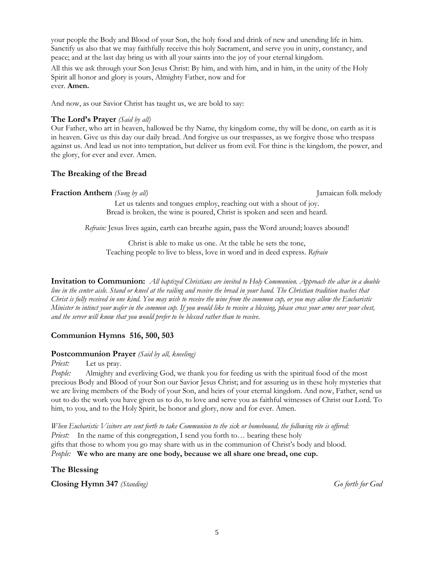your people the Body and Blood of your Son, the holy food and drink of new and unending life in him. Sanctify us also that we may faithfully receive this holy Sacrament, and serve you in unity, constancy, and peace; and at the last day bring us with all your saints into the joy of your eternal kingdom.

All this we ask through your Son Jesus Christ: By him, and with him, and in him, in the unity of the Holy Spirit all honor and glory is yours, Almighty Father, now and for ever. **Amen.**

And now, as our Savior Christ has taught us, we are bold to say:

# **The Lord's Prayer** *(Said by all)*

Our Father, who art in heaven, hallowed be thy Name, thy kingdom come, thy will be done, on earth as it is in heaven. Give us this day our daily bread. And forgive us our trespasses, as we forgive those who trespass against us. And lead us not into temptation, but deliver us from evil. For thine is the kingdom, the power, and the glory, for ever and ever. Amen.

# **The Breaking of the Bread**

## **Fraction Anthem** *(Sung by all)* Jamaican folk melody

Let us talents and tongues employ, reaching out with a shout of joy. Bread is broken, the wine is poured, Christ is spoken and seen and heard.

*Refrain:* Jesus lives again, earth can breathe again, pass the Word around; loaves abound!

Christ is able to make us one. At the table he sets the tone, Teaching people to live to bless, love in word and in deed express. *Refrain* 

**Invitation to Communion:** All baptized Christians are invited to Holy Communion. Approach the altar in a double line in the center aisle. Stand or kneel at the railing and receive the bread in your hand. The Christian tradition teaches that Christ is fully received in one kind. You may wish to receive the wine from the common cup, or you may allow the Eucharistic Minister to intinct your wafer in the common cup. If you would like to receive a blessing, please cross your arms over your chest, *and the server will know that you would prefer to be blessed rather than to receive.*

# **Communion Hymns 516, 500, 503**

## **Postcommunion Prayer** *(Said by all, kneeling)*

*Priest:* Let us pray.

*People:* Almighty and everliving God, we thank you for feeding us with the spiritual food of the most precious Body and Blood of your Son our Savior Jesus Christ; and for assuring us in these holy mysteries that we are living members of the Body of your Son, and heirs of your eternal kingdom. And now, Father, send us out to do the work you have given us to do, to love and serve you as faithful witnesses of Christ our Lord. To him, to you, and to the Holy Spirit, be honor and glory, now and for ever. Amen.

When Eucharistic Visitors are sent forth to take Communion to the sick or homebound, the following rite is offered: *Priest:* In the name of this congregation, I send you forth to... bearing these holy gifts that those to whom you go may share with us in the communion of Christ's body and blood. *People:* **We who are many are one body, because we all share one bread, one cup.**

## **The Blessing**

**Closing Hymn 347** *(Standing) Go forth for God*